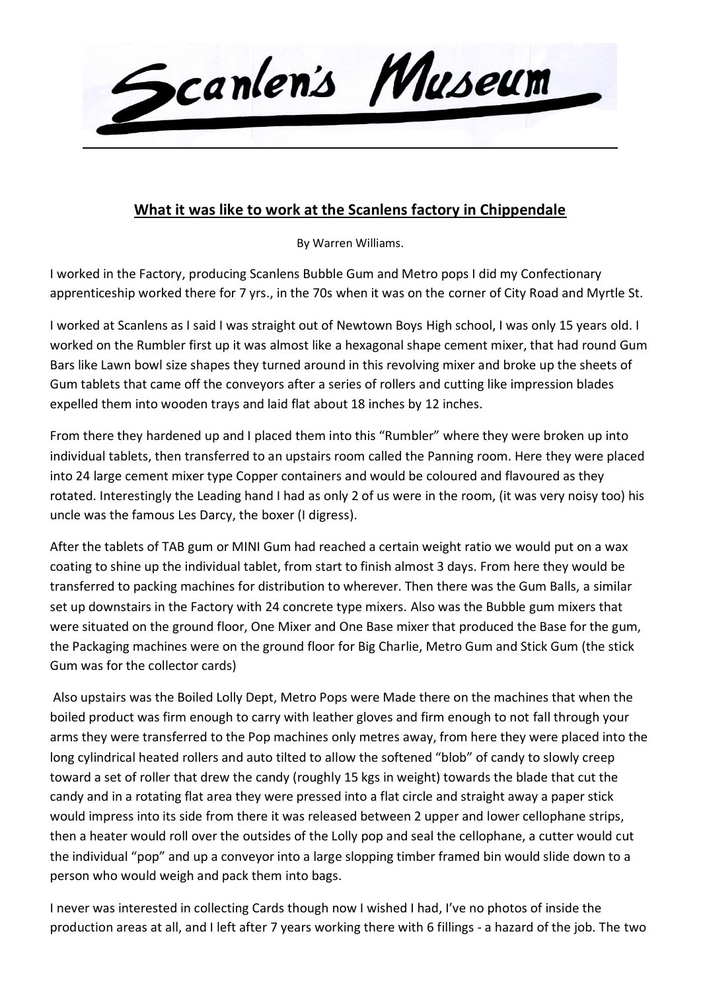

## **What it was like to work at the Scanlens factory in Chippendale**

By Warren Williams.

I worked in the Factory, producing Scanlens Bubble Gum and Metro pops I did my Confectionary apprenticeship worked there for 7 yrs., in the 70s when it was on the corner of City Road and Myrtle St.

I worked at Scanlens as I said I was straight out of Newtown Boys High school, I was only 15 years old. I worked on the Rumbler first up it was almost like a hexagonal shape cement mixer, that had round Gum Bars like Lawn bowl size shapes they turned around in this revolving mixer and broke up the sheets of Gum tablets that came off the conveyors after a series of rollers and cutting like impression blades expelled them into wooden trays and laid flat about 18 inches by 12 inches.

From there they hardened up and I placed them into this "Rumbler" where they were broken up into individual tablets, then transferred to an upstairs room called the Panning room. Here they were placed into 24 large cement mixer type Copper containers and would be coloured and flavoured as they rotated. Interestingly the Leading hand I had as only 2 of us were in the room, (it was very noisy too) his uncle was the famous Les Darcy, the boxer (I digress).

After the tablets of TAB gum or MINI Gum had reached a certain weight ratio we would put on a wax coating to shine up the individual tablet, from start to finish almost 3 days. From here they would be transferred to packing machines for distribution to wherever. Then there was the Gum Balls, a similar set up downstairs in the Factory with 24 concrete type mixers. Also was the Bubble gum mixers that were situated on the ground floor, One Mixer and One Base mixer that produced the Base for the gum, the Packaging machines were on the ground floor for Big Charlie, Metro Gum and Stick Gum (the stick Gum was for the collector cards)

Also upstairs was the Boiled Lolly Dept, Metro Pops were Made there on the machines that when the boiled product was firm enough to carry with leather gloves and firm enough to not fall through your arms they were transferred to the Pop machines only metres away, from here they were placed into the long cylindrical heated rollers and auto tilted to allow the softened "blob" of candy to slowly creep toward a set of roller that drew the candy (roughly 15 kgs in weight) towards the blade that cut the candy and in a rotating flat area they were pressed into a flat circle and straight away a paper stick would impress into its side from there it was released between 2 upper and lower cellophane strips, then a heater would roll over the outsides of the Lolly pop and seal the cellophane, a cutter would cut the individual "pop" and up a conveyor into a large slopping timber framed bin would slide down to a person who would weigh and pack them into bags.

I never was interested in collecting Cards though now I wished I had, I've no photos of inside the production areas at all, and I left after 7 years working there with 6 fillings - a hazard of the job. The two